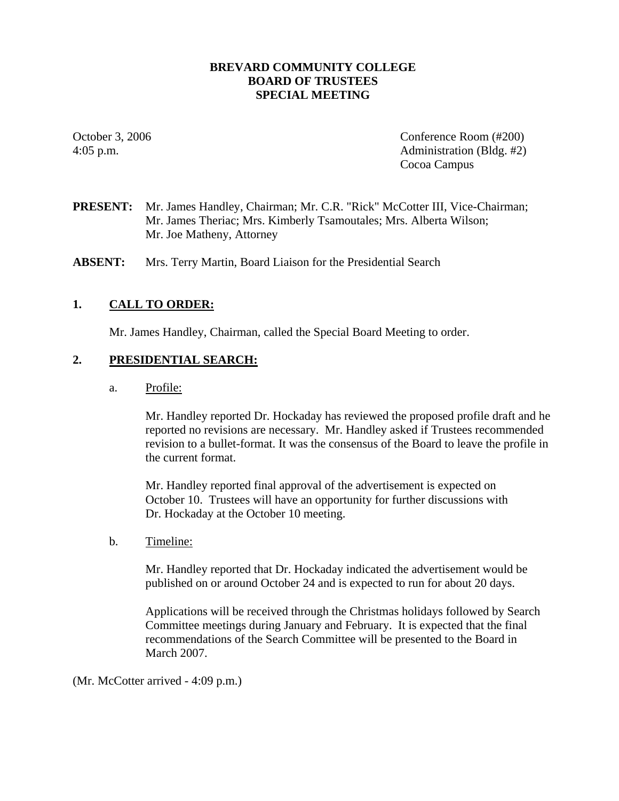# **BREVARD COMMUNITY COLLEGE BOARD OF TRUSTEES SPECIAL MEETING**

October 3, 2006 Conference Room (#200) 4:05 p.m. Administration (Bldg. #2) Cocoa Campus

**PRESENT:** Mr. James Handley, Chairman; Mr. C.R. "Rick" McCotter III, Vice-Chairman; Mr. James Theriac; Mrs. Kimberly Tsamoutales; Mrs. Alberta Wilson; Mr. Joe Matheny, Attorney

**ABSENT:** Mrs. Terry Martin, Board Liaison for the Presidential Search

# **1. CALL TO ORDER:**

Mr. James Handley, Chairman, called the Special Board Meeting to order.

# **2. PRESIDENTIAL SEARCH:**

a. Profile:

Mr. Handley reported Dr. Hockaday has reviewed the proposed profile draft and he reported no revisions are necessary. Mr. Handley asked if Trustees recommended revision to a bullet-format. It was the consensus of the Board to leave the profile in the current format.

Mr. Handley reported final approval of the advertisement is expected on October 10. Trustees will have an opportunity for further discussions with Dr. Hockaday at the October 10 meeting.

b. Timeline:

Mr. Handley reported that Dr. Hockaday indicated the advertisement would be published on or around October 24 and is expected to run for about 20 days.

Applications will be received through the Christmas holidays followed by Search Committee meetings during January and February. It is expected that the final recommendations of the Search Committee will be presented to the Board in March 2007.

(Mr. McCotter arrived - 4:09 p.m.)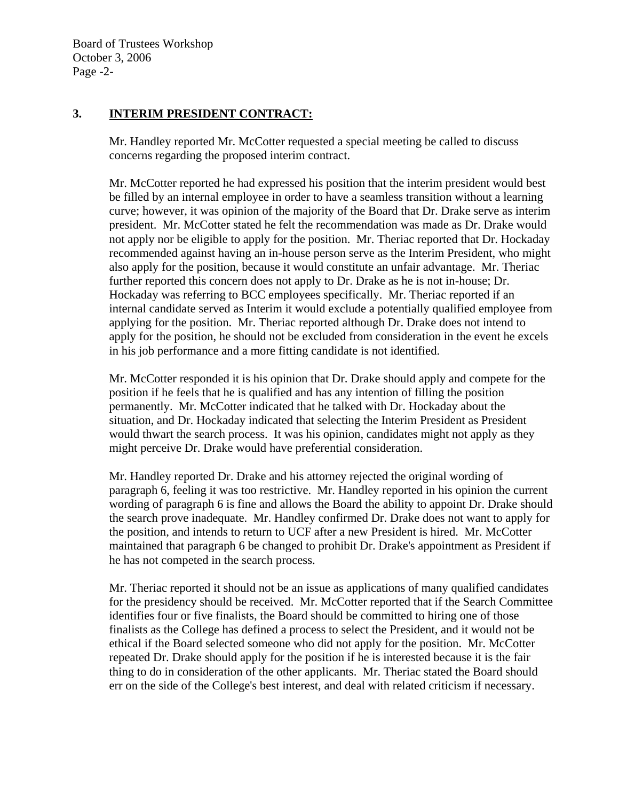# **3. INTERIM PRESIDENT CONTRACT:**

Mr. Handley reported Mr. McCotter requested a special meeting be called to discuss concerns regarding the proposed interim contract.

Mr. McCotter reported he had expressed his position that the interim president would best be filled by an internal employee in order to have a seamless transition without a learning curve; however, it was opinion of the majority of the Board that Dr. Drake serve as interim president. Mr. McCotter stated he felt the recommendation was made as Dr. Drake would not apply nor be eligible to apply for the position. Mr. Theriac reported that Dr. Hockaday recommended against having an in-house person serve as the Interim President, who might also apply for the position, because it would constitute an unfair advantage. Mr. Theriac further reported this concern does not apply to Dr. Drake as he is not in-house; Dr. Hockaday was referring to BCC employees specifically. Mr. Theriac reported if an internal candidate served as Interim it would exclude a potentially qualified employee from applying for the position. Mr. Theriac reported although Dr. Drake does not intend to apply for the position, he should not be excluded from consideration in the event he excels in his job performance and a more fitting candidate is not identified.

Mr. McCotter responded it is his opinion that Dr. Drake should apply and compete for the position if he feels that he is qualified and has any intention of filling the position permanently. Mr. McCotter indicated that he talked with Dr. Hockaday about the situation, and Dr. Hockaday indicated that selecting the Interim President as President would thwart the search process. It was his opinion, candidates might not apply as they might perceive Dr. Drake would have preferential consideration.

Mr. Handley reported Dr. Drake and his attorney rejected the original wording of paragraph 6, feeling it was too restrictive. Mr. Handley reported in his opinion the current wording of paragraph 6 is fine and allows the Board the ability to appoint Dr. Drake should the search prove inadequate. Mr. Handley confirmed Dr. Drake does not want to apply for the position, and intends to return to UCF after a new President is hired. Mr. McCotter maintained that paragraph 6 be changed to prohibit Dr. Drake's appointment as President if he has not competed in the search process.

Mr. Theriac reported it should not be an issue as applications of many qualified candidates for the presidency should be received. Mr. McCotter reported that if the Search Committee identifies four or five finalists, the Board should be committed to hiring one of those finalists as the College has defined a process to select the President, and it would not be ethical if the Board selected someone who did not apply for the position. Mr. McCotter repeated Dr. Drake should apply for the position if he is interested because it is the fair thing to do in consideration of the other applicants. Mr. Theriac stated the Board should err on the side of the College's best interest, and deal with related criticism if necessary.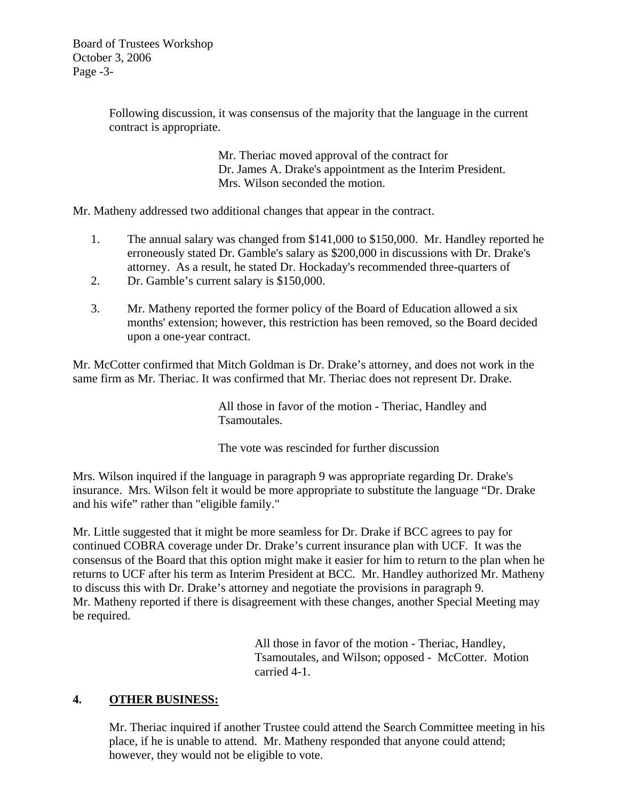Board of Trustees Workshop October 3, 2006 Page -3-

> Following discussion, it was consensus of the majority that the language in the current contract is appropriate.

> > Mr. Theriac moved approval of the contract for Dr. James A. Drake's appointment as the Interim President. Mrs. Wilson seconded the motion.

Mr. Matheny addressed two additional changes that appear in the contract.

- 1. The annual salary was changed from \$141,000 to \$150,000. Mr. Handley reported he erroneously stated Dr. Gamble's salary as \$200,000 in discussions with Dr. Drake's attorney. As a result, he stated Dr. Hockaday's recommended three-quarters of
- 2. Dr. Gamble's current salary is \$150,000.
- 3. Mr. Matheny reported the former policy of the Board of Education allowed a six months' extension; however, this restriction has been removed, so the Board decided upon a one-year contract.

Mr. McCotter confirmed that Mitch Goldman is Dr. Drake's attorney, and does not work in the same firm as Mr. Theriac. It was confirmed that Mr. Theriac does not represent Dr. Drake.

> All those in favor of the motion - Theriac, Handley and Tsamoutales.

The vote was rescinded for further discussion

Mrs. Wilson inquired if the language in paragraph 9 was appropriate regarding Dr. Drake's insurance. Mrs. Wilson felt it would be more appropriate to substitute the language "Dr. Drake and his wife" rather than "eligible family."

Mr. Little suggested that it might be more seamless for Dr. Drake if BCC agrees to pay for continued COBRA coverage under Dr. Drake's current insurance plan with UCF. It was the consensus of the Board that this option might make it easier for him to return to the plan when he returns to UCF after his term as Interim President at BCC. Mr. Handley authorized Mr. Matheny to discuss this with Dr. Drake's attorney and negotiate the provisions in paragraph 9. Mr. Matheny reported if there is disagreement with these changes, another Special Meeting may be required.

> All those in favor of the motion - Theriac, Handley, Tsamoutales, and Wilson; opposed - McCotter. Motion carried 4-1.

#### **4. OTHER BUSINESS:**

Mr. Theriac inquired if another Trustee could attend the Search Committee meeting in his place, if he is unable to attend. Mr. Matheny responded that anyone could attend; however, they would not be eligible to vote.